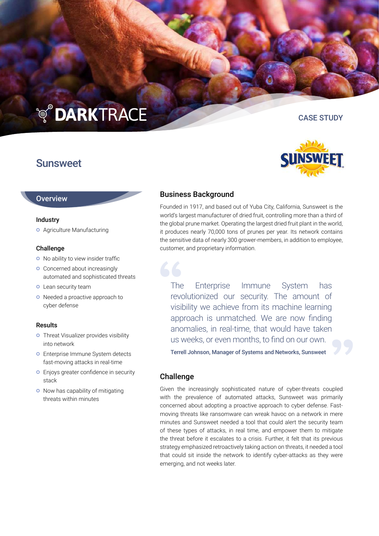# **TO DARKTRACE**

# **Sunsweet**

### **Overview**

#### **Industry**

Agriculture Manufacturing

#### Challenge

- o No ability to view insider traffic
- **o** Concerned about increasingly automated and sophisticated threats
- o Lean security team
- o Needed a proactive approach to cyber defense

#### Results

- **o** Threat Visualizer provides visibility into network
- **o** Enterprise Immune System detects fast-moving attacks in real-time
- **o** Enjoys greater confidence in security stack
- o Now has capability of mitigating threats within minutes

## Business Background

Founded in 1917, and based out of Yuba City, California, Sunsweet is the world's largest manufacturer of dried fruit, controlling more than a third of the global prune market. Operating the largest dried fruit plant in the world, it produces nearly 70,000 tons of prunes per year. Its network contains the sensitive data of nearly 300 grower-members, in addition to employee, customer, and proprietary information.

The Enterprise Immune System has revolutionized our security. The amount of visibility we achieve from its machine learning approach is unmatched. We are now finding anomalies, in real-time, that would have taken us weeks, or even months, to find on our own.

Terrell Johnson, Manager of Systems and Networks, Sunsweet

## Challenge

Given the increasingly sophisticated nature of cyber-threats coupled with the prevalence of automated attacks, Sunsweet was primarily concerned about adopting a proactive approach to cyber defense. Fastmoving threats like ransomware can wreak havoc on a network in mere minutes and Sunsweet needed a tool that could alert the security team of these types of attacks, in real time, and empower them to mitigate the threat before it escalates to a crisis. Further, it felt that its previous strategy emphasized retroactively taking action on threats, it needed a tool that could sit inside the network to identify cyber-attacks as they were emerging, and not weeks later.



CASE STUDY